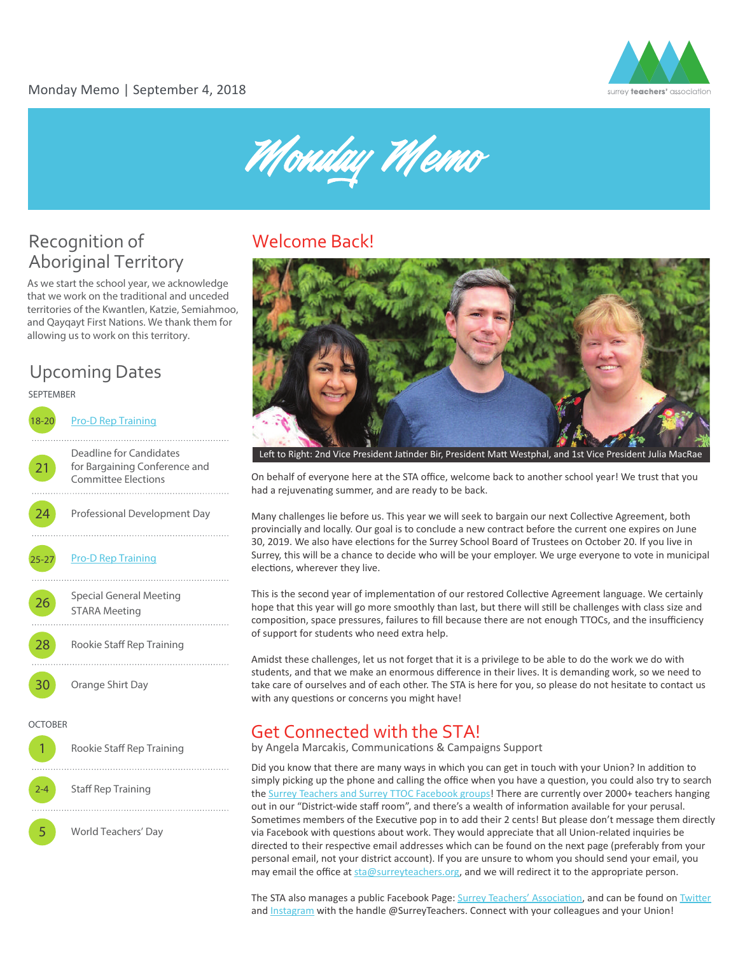

Monday Memo

# Recognition of Aboriginal Territory

As we start the school year, we acknowledge that we work on the traditional and unceded territories of the Kwantlen, Katzie, Semiahmoo, and Qayqayt First Nations. We thank them for allowing us to work on this territory.

# Upcoming Dates



### Welcome Back!



Left to Right: 2nd Vice President Jatinder Bir, President Matt Westphal, and 1st Vice President Julia MacRae

On behalf of everyone here at the STA office, welcome back to another school year! We trust that you had a rejuvenating summer, and are ready to be back.

Many challenges lie before us. This year we will seek to bargain our next Collective Agreement, both provincially and locally. Our goal is to conclude a new contract before the current one expires on June 30, 2019. We also have elections for the Surrey School Board of Trustees on October 20. If you live in Surrey, this will be a chance to decide who will be your employer. We urge everyone to vote in municipal elections, wherever they live.

This is the second year of implementation of our restored Collective Agreement language. We certainly hope that this year will go more smoothly than last, but there will still be challenges with class size and composi�on, space pressures, failures to fill because there are not enough TTOCs, and the insufficiency of support for students who need extra help.

Amidst these challenges, let us not forget that it is a privilege to be able to do the work we do with students, and that we make an enormous difference in their lives. It is demanding work, so we need to take care of ourselves and of each other. The STA is here for you, so please do not hesitate to contact us with any questions or concerns you might have!

### Get Connected with the STA!

by Angela Marcakis, Communications & Campaigns Support

Did you know that there are many ways in which you can get in touch with your Union? In addition to simply picking up the phone and calling the office when you have a question, you could also try to search the [Surrey Teachers and Surrey TTOC Facebook groups!](https://www.facebook.com/groups/surreyteachers/?ref=bookmarks) There are currently over 2000+ teachers hanging out in our "District-wide staff room", and there's a wealth of information available for your perusal. Sometimes members of the Executive pop in to add their 2 cents! But please don't message them directly via Facebook with questions about work. They would appreciate that all Union-related inquiries be directed to their respective email addresses which can be found on the next page (preferably from your personal email, not your district account). If you are unsure to whom you should send your email, you may email the office at [sta@surreyteachers.org](mailto:sta@surreyteachers.org), and we will redirect it to the appropriate person.

The STA also manages a public Facebook Page: Surrey Teachers' Association, and can be found on Twitter and [Instagram](http://instagram.com/surreyteachers) with the handle @SurreyTeachers. Connect with your colleagues and your Union!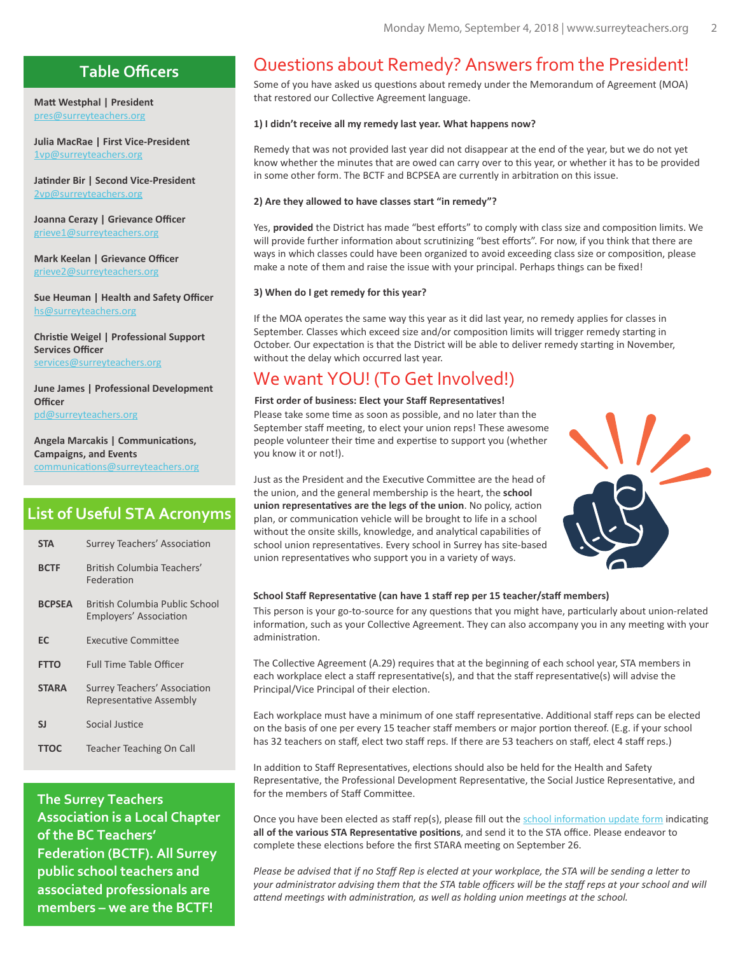### **Table Officers**

**Matt Westphal | President** [pres@surreyteachers.org](mailto:pres@surreyteachers.org)

**Julia MacRae | First Vice-President**  [1vp@surreyteachers.org](mailto:1vp@surreyteachers.org)

Jatinder Bir | Second Vice-President [2vp@surreyteachers.org](mailto:2vp@surreyteachers.org)

**Joanna Cerazy | Grievance Officer**  [grieve1@surreyteachers.org](mailto:grieve1@surreyteachers.org)

**Mark Keelan | Grievance Officer**  [grieve2@surreyteachers.org](mailto:grieve2@surreyteachers.org)

**Sue Heuman | Health and Safety Officer**  [hs@surreyteachers.org](mailto:hs@surreyteachers.org)

**Chris�e Weigel | Professional Support Services Officer**  [services@surreyteachers.org](mailto:services@surreyteachers.org)

**June James | Professional Development Officer**  [pd@surreyteachers.org](mailto:pd@surreyteachers.org)

**Angela Marcakis | Communications, Campaigns, and Events**  communications@surreyteachers.org

### **List of Useful STA Acronyms**

| <b>STA</b>    | Surrey Teachers' Association                                    |  |
|---------------|-----------------------------------------------------------------|--|
| <b>BCTF</b>   | British Columbia Teachers'<br>Federation                        |  |
| <b>BCPSEA</b> | British Columbia Public School<br><b>Employers' Association</b> |  |
| EC            | <b>Executive Committee</b>                                      |  |
| <b>FTTO</b>   | <b>Full Time Table Officer</b>                                  |  |
| <b>STARA</b>  | Surrey Teachers' Association<br>Representative Assembly         |  |
| SJ            | Social Justice                                                  |  |
| <b>TTOC</b>   | <b>Teacher Teaching On Call</b>                                 |  |

**The Surrey Teachers Association is a Local Chapter of the BC Teachers' Federation (BCTF). All Surrey public school teachers and associated professionals are members – we are the BCTF!**

### Questions about Remedy? Answers from the President!

Some of you have asked us questions about remedy under the Memorandum of Agreement (MOA) that restored our Collective Agreement language.

### **1) I didn't receive all my remedy last year. What happens now?**

Remedy that was not provided last year did not disappear at the end of the year, but we do not yet know whether the minutes that are owed can carry over to this year, or whether it has to be provided in some other form. The BCTF and BCPSEA are currently in arbitration on this issue.

### **2) Are they allowed to have classes start "in remedy"?**

Yes, provided the District has made "best efforts" to comply with class size and composition limits. We will provide further information about scrutinizing "best efforts". For now, if you think that there are ways in which classes could have been organized to avoid exceeding class size or composition, please make a note of them and raise the issue with your principal. Perhaps things can be fixed!

### **3) When do I get remedy for this year?**

If the MOA operates the same way this year as it did last year, no remedy applies for classes in September. Classes which exceed size and/or composition limits will trigger remedy starting in October. Our expectation is that the District will be able to deliver remedy starting in November, without the delay which occurred last year.

### We want YOU! (To Get Involved!)

### First order of business: Elect your Staff Representatives!

Please take some time as soon as possible, and no later than the September staff meeting, to elect your union reps! These awesome people volunteer their time and expertise to support you (whether you know it or not!).

Just as the President and the Executive Committee are the head of the union, and the general membership is the heart, the **school union representatives are the legs of the union**. No policy, action plan, or communication vehicle will be brought to life in a school without the onsite skills, knowledge, and analytical capabilities of school union representatives. Every school in Surrey has site-based union representatives who support you in a variety of ways.



### School Staff Representative (can have 1 staff rep per 15 teacher/staff members)

This person is your go-to-source for any questions that you might have, particularly about union-related information, such as your Collective Agreement. They can also accompany you in any meeting with your administration.

The Collective Agreement (A.29) requires that at the beginning of each school year, STA members in each workplace elect a staff representative(s), and that the staff representative(s) will advise the Principal/Vice Principal of their election.

Each workplace must have a minimum of one staff representative. Additional staff reps can be elected on the basis of one per every 15 teacher staff members or major portion thereof. (E.g. if your school has 32 teachers on staff, elect two staff reps. If there are 53 teachers on staff, elect 4 staff reps.)

In addition to Staff Representatives, elections should also be held for the Health and Safety Representative, the Professional Development Representative, the Social Justice Representative, and for the members of Staff Committee.

Once you have been elected as staff rep(s), please fill out the school information update form indicating all of the various STA Representative positions, and send it to the STA office. Please endeavor to complete these elections before the first STARA meeting on September 26.

*Please be advised that if no Staff Rep is elected at your workplace, the STA will be sending a letter to your administrator advising them that the STA table officers will be the staff reps at your school and will attend meetings with administration, as well as holding union meetings at the school.*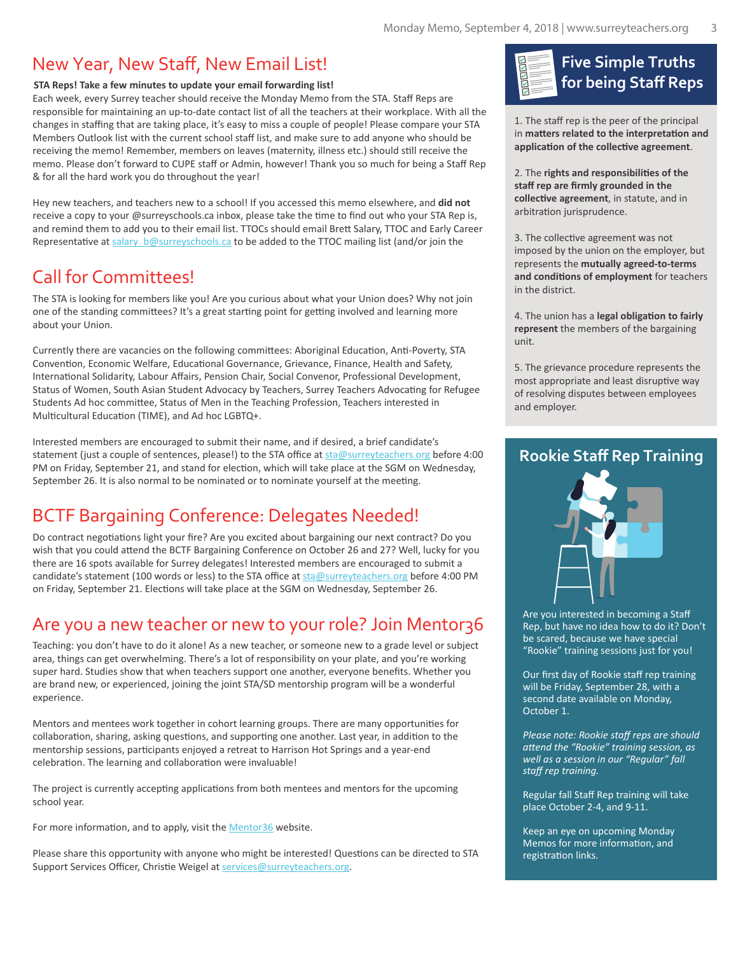### New Year, New Staff, New Email List!

### **STA Reps! Take a few minutes to update your email forwarding list!**

Each week, every Surrey teacher should receive the Monday Memo from the STA. Staff Reps are responsible for maintaining an up-to-date contact list of all the teachers at their workplace. With all the changes in staffing that are taking place, it's easy to miss a couple of people! Please compare your STA Members Outlook list with the current school staff list, and make sure to add anyone who should be receiving the memo! Remember, members on leaves (maternity, illness etc.) should still receive the memo. Please don't forward to CUPE staff or Admin, however! Thank you so much for being a Staff Rep & for all the hard work you do throughout the year!

Hey new teachers, and teachers new to a school! If you accessed this memo elsewhere, and **did not** receive a copy to your @surreyschools.ca inbox, please take the time to find out who your STA Rep is, and remind them to add you to their email list. TTOCs should email Brett Salary, TTOC and Early Career Representative at salary b@surreyschools.ca to be added to the TTOC mailing list (and/or join the

# Call for Committees!

The STA is looking for members like you! Are you curious about what your Union does? Why not join one of the standing committees? It's a great starting point for getting involved and learning more about your Union.

Currently there are vacancies on the following committees: Aboriginal Education, Anti-Poverty, STA Convention, Economic Welfare, Educational Governance, Grievance, Finance, Health and Safety, International Solidarity, Labour Affairs, Pension Chair, Social Convenor, Professional Development, Status of Women, South Asian Student Advocacy by Teachers, Surrey Teachers Advocating for Refugee Students Ad hoc commi�ee, Status of Men in the Teaching Profession, Teachers interested in Multicultural Education (TIME), and Ad hoc LGBTQ+.

Interested members are encouraged to submit their name, and if desired, a brief candidate's statement (just a couple of sentences, please!) to the STA office at [sta@surreyteachers.org](mailto:sta@surreyteachers.org) before 4:00 PM on Friday, September 21, and stand for election, which will take place at the SGM on Wednesday, September 26. It is also normal to be nominated or to nominate yourself at the meeting.

# BCTF Bargaining Conference: Delegates Needed!

Do contract negotiations light your fire? Are you excited about bargaining our next contract? Do you wish that you could attend the BCTF Bargaining Conference on October 26 and 27? Well, lucky for you there are 16 spots available for Surrey delegates! Interested members are encouraged to submit a candidate's statement (100 words or less) to the STA office at [sta@surreyteachers.org](mailto:sta@surreyteachers.org) before 4:00 PM on Friday, September 21. Elections will take place at the SGM on Wednesday, September 26.

### Are you a new teacher or new to your role? Join Mentor36

Teaching: you don't have to do it alone! As a new teacher, or someone new to a grade level or subject area, things can get overwhelming. There's a lot of responsibility on your plate, and you're working super hard. Studies show that when teachers support one another, everyone benefits. Whether you are brand new, or experienced, joining the joint STA/SD mentorship program will be a wonderful experience.

Mentors and mentees work together in cohort learning groups. There are many opportuni�es for collaboration, sharing, asking questions, and supporting one another. Last year, in addition to the mentorship sessions, participants enjoyed a retreat to Harrison Hot Springs and a year-end celebration. The learning and collaboration were invaluable!

The project is currently accepting applications from both mentees and mentors for the upcoming school year.

For more information, and to apply, visit the [Mentor36](https://mentor36.com/join) website.

Please share this opportunity with anyone who might be interested! Questions can be directed to STA Support Services Officer, Christie Weigel at [services@surreyteachers.org.](mailto:services@surreyteachers.org)

# **Five Simple Truths for being Staff Reps**

1. The staff rep is the peer of the principal in matters related to the interpretation and application of the collective agreement.

2. The **rights and responsibili�es of the staff rep are firmly grounded in the**  collective agreement, in statute, and in arbitration jurisprudence.

3. The collective agreement was not imposed by the union on the employer, but represents the **mutually agreed-to-terms**  and conditions of employment for teachers in the district.

4. The union has a **legal obliga�on to fairly represent** the members of the bargaining unit.

5. The grievance procedure represents the most appropriate and least disruptive way of resolving disputes between employees and employer.

### **Rookie Staff Rep Training**



Are you interested in becoming a Staff Rep, but have no idea how to do it? Don't be scared, because we have special "Rookie" training sessions just for you!

Our first day of Rookie staff rep training will be Friday, September 28, with a second date available on Monday, October 1.

*Please note: Rookie staff reps are should attend the "Rookie" training session, as well as a session in our "Regular" fall staff rep training.*

Regular fall Staff Rep training will take place October 2-4, and 9-11.

Keep an eye on upcoming Monday Memos for more information, and registration links.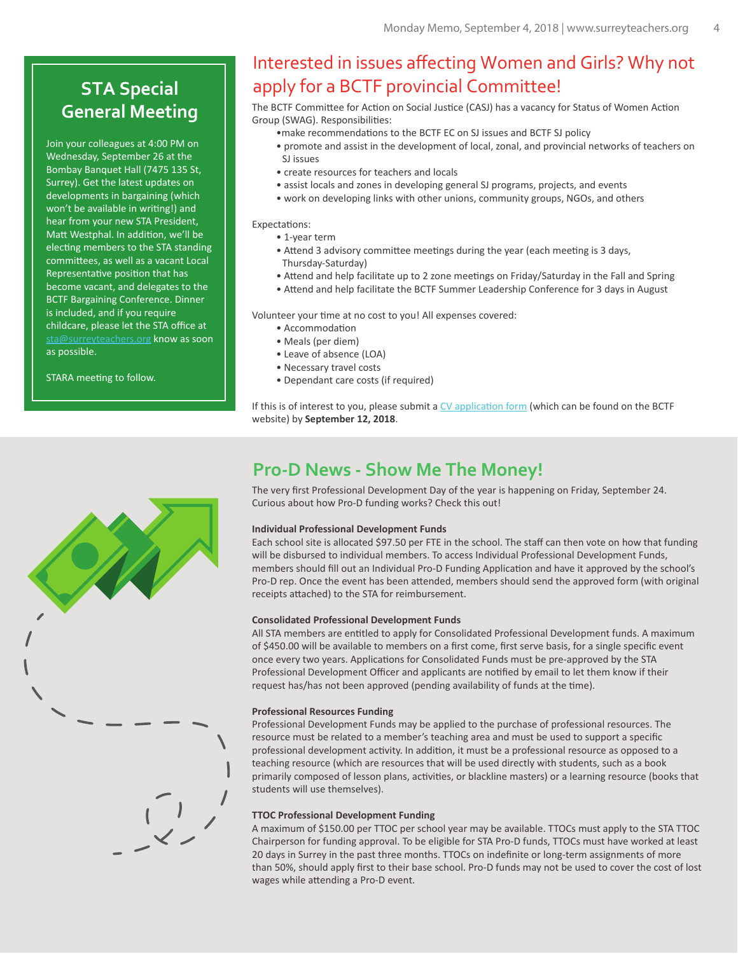# **STA Special**

Join your colleagues at 4:00 PM on Wednesday, September 26 at the Bombay Banquet Hall (7475 135 St, Surrey). Get the latest updates on developments in bargaining (which won't be available in writing!) and hear from your new STA President, Matt Westphal. In addition, we'll be electing members to the STA standing commi�ees, as well as a vacant Local Representative position that has become vacant, and delegates to the BCTF Bargaining Conference. Dinner is included, and if you require childcare, please let the STA office at [sta@surreyteachers.org](mailto:sta@surreyteachers.org) know as soon as possible.

STARA meeting to follow.

### Interested in issues affecting Women and Girls? Why not apply for a BCTF provincial Committee!

**General Meeting** The BCTF Committee for Action on Social Justice (CASJ) has a vacancy for Status of Women Action Group (SWAG). Responsibilities:

- •make recommendations to the BCTF EC on SJ issues and BCTF SJ policy
- promote and assist in the development of local, zonal, and provincial networks of teachers on SJ issues
- create resources for teachers and locals
- assist locals and zones in developing general SJ programs, projects, and events
- work on developing links with other unions, community groups, NGOs, and others

Expectations:

- 1-year term
- Attend 3 advisory committee meetings during the year (each meeting is 3 days, Thursday-Saturday)
- Attend and help facilitate up to 2 zone meetings on Friday/Saturday in the Fall and Spring
- Attend and help facilitate the BCTF Summer Leadership Conference for 3 days in August

Volunteer your time at no cost to you! All expenses covered:

- Accommodation
- Meals (per diem)
- Leave of absence (LOA)
- Necessary travel costs
- Dependant care costs (if required)

If this is of interest to you, please submit a  $CV$  application form (which can be found on the BCTF website) by **September 12, 2018**.

### **Pro-D News - Show Me The Money!**

The very first Professional Development Day of the year is happening on Friday, September 24. Curious about how Pro-D funding works? Check this out!

### **Individual Professional Development Funds**

Each school site is allocated \$97.50 per FTE in the school. The staff can then vote on how that funding will be disbursed to individual members. To access Individual Professional Development Funds, members should fill out an Individual Pro-D Funding Application and have it approved by the school's Pro-D rep. Once the event has been attended, members should send the approved form (with original receipts attached) to the STA for reimbursement.

#### **Consolidated Professional Development Funds**

All STA members are en�tled to apply for Consolidated Professional Development funds. A maximum of \$450.00 will be available to members on a first come, first serve basis, for a single specific event once every two years. Applications for Consolidated Funds must be pre-approved by the STA Professional Development Officer and applicants are notified by email to let them know if their request has/has not been approved (pending availability of funds at the time).

### **Professional Resources Funding**

Professional Development Funds may be applied to the purchase of professional resources. The resource must be related to a member's teaching area and must be used to support a specific professional development activity. In addition, it must be a professional resource as opposed to a teaching resource (which are resources that will be used directly with students, such as a book primarily composed of lesson plans, activities, or blackline masters) or a learning resource (books that students will use themselves).

### **TTOC Professional Development Funding**

A maximum of \$150.00 per TTOC per school year may be available. TTOCs must apply to the STA TTOC Chairperson for funding approval. To be eligible for STA Pro-D funds, TTOCs must have worked at least 20 days in Surrey in the past three months. TTOCs on indefinite or long-term assignments of more than 50%, should apply first to their base school. Pro-D funds may not be used to cover the cost of lost wages while attending a Pro-D event.

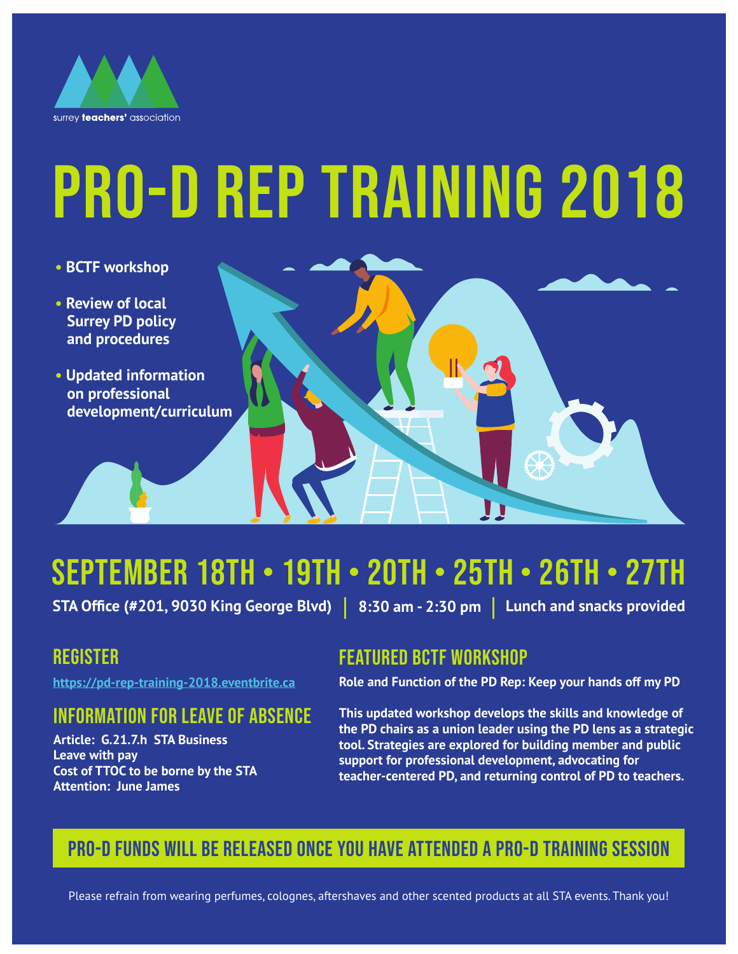

# PRO-D REP TRAINING 2018

- **BCTF workshop**
- **Review of local Surrey PD policy and procedures**
- **Updated information on professional development/curriculum**



# SEPTEMBER 18th • 19th • 20th • 25th • 26th • 27th

 $\textsf{STA Office (#201, 9030 King George Blvd) } \quad 8:30 \text{ am }$  - 2:30 pm  $\quad \textsf{Lunch}$  and snacks provided

# **REGISTER**

https://pd-rep-training-2018.eventbrite.ca

# Information for Leave of Absence

**Article: G.21.7.h STA Business Leave with pay Cost of TTOC to be borne by the STA Attention: June James**

# featured bctf workshop

**Role and Function of the PD Rep: Keep your hands off my PD** 

**This updated workshop develops the skills and knowledge of the PD chairs as a union leader using the PD lens as a strategic tool. Strategies are explored for building member and public support for professional development, advocating for teacher-centered PD, and returning control of PD to teachers.** 

# Pro-D Funds will be released once you have attended a Pro-D training session

Please refrain from wearing perfumes, colognes, aftershaves and other scented products at all STA events. Thank you!